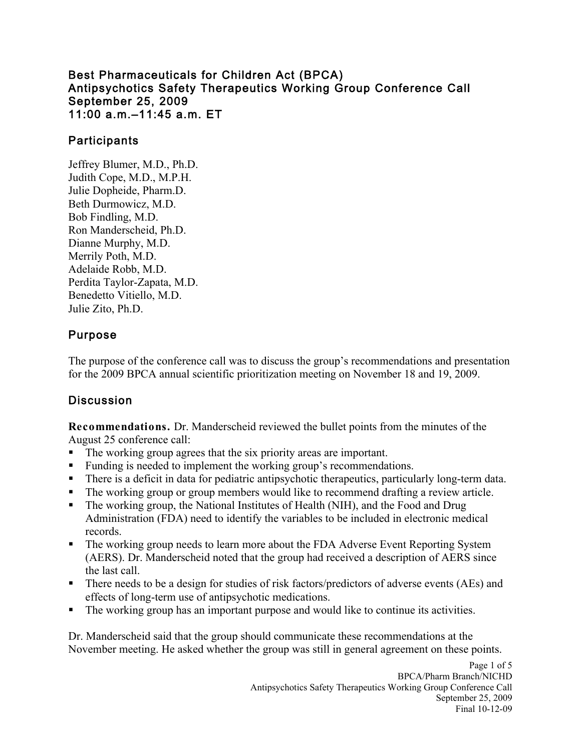#### Best Pharmaceuticals for Children Act (BPCA) Antipsychotics Safety Therapeutics Working Group Conference Call September 25, 2009 11:00 a.m.–11:45 a.m. ET

## **Participants**

Jeffrey Blumer, M.D., Ph.D. Judith Cope, M.D., M.P.H. Julie Dopheide, Pharm.D. Beth Durmowicz, M.D. Bob Findling, M.D. Ron Manderscheid, Ph.D. Dianne Murphy, M.D. Merrily Poth, M.D. Adelaide Robb, M.D. Perdita Taylor-Zapata, M.D. Benedetto Vitiello, M.D. Julie Zito, Ph.D.

# Purpose

The purpose of the conference call was to discuss the group's recommendations and presentation for the 2009 BPCA annual scientific prioritization meeting on November 18 and 19, 2009.

# **Discussion**

**Recommendations.** Dr. Manderscheid reviewed the bullet points from the minutes of the August 25 conference call:

- The working group agrees that the six priority areas are important.
- Funding is needed to implement the working group's recommendations.
- There is a deficit in data for pediatric antipsychotic therapeutics, particularly long-term data.
- The working group or group members would like to recommend drafting a review article.
- The working group, the National Institutes of Health (NIH), and the Food and Drug Administration (FDA) need to identify the variables to be included in electronic medical records.
- The working group needs to learn more about the FDA Adverse Event Reporting System (AERS). Dr. Manderscheid noted that the group had received a description of AERS since the last call.
- There needs to be a design for studies of risk factors/predictors of adverse events (AEs) and effects of long-term use of antipsychotic medications.
- The working group has an important purpose and would like to continue its activities.

Dr. Manderscheid said that the group should communicate these recommendations at the November meeting. He asked whether the group was still in general agreement on these points.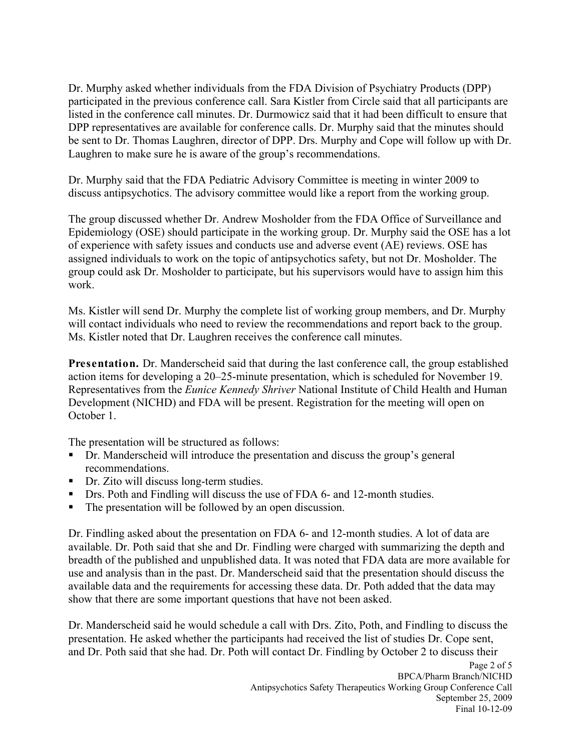Dr. Murphy asked whether individuals from the FDA Division of Psychiatry Products (DPP) participated in the previous conference call. Sara Kistler from Circle said that all participants are listed in the conference call minutes. Dr. Durmowicz said that it had been difficult to ensure that DPP representatives are available for conference calls. Dr. Murphy said that the minutes should be sent to Dr. Thomas Laughren, director of DPP. Drs. Murphy and Cope will follow up with Dr. Laughren to make sure he is aware of the group's recommendations.

Dr. Murphy said that the FDA Pediatric Advisory Committee is meeting in winter 2009 to discuss antipsychotics. The advisory committee would like a report from the working group.

The group discussed whether Dr. Andrew Mosholder from the FDA Office of Surveillance and Epidemiology (OSE) should participate in the working group. Dr. Murphy said the OSE has a lot of experience with safety issues and conducts use and adverse event (AE) reviews. OSE has assigned individuals to work on the topic of antipsychotics safety, but not Dr. Mosholder. The group could ask Dr. Mosholder to participate, but his supervisors would have to assign him this work.

Ms. Kistler will send Dr. Murphy the complete list of working group members, and Dr. Murphy will contact individuals who need to review the recommendations and report back to the group. Ms. Kistler noted that Dr. Laughren receives the conference call minutes.

**Presentation.** Dr. Manderscheid said that during the last conference call, the group established action items for developing a 20–25-minute presentation, which is scheduled for November 19. Representatives from the *Eunice Kennedy Shriver* National Institute of Child Health and Human Development (NICHD) and FDA will be present. Registration for the meeting will open on October 1.

The presentation will be structured as follows:

- Dr. Manderscheid will introduce the presentation and discuss the group's general recommendations.
- Dr. Zito will discuss long-term studies.
- Drs. Poth and Findling will discuss the use of FDA 6- and 12-month studies.
- The presentation will be followed by an open discussion.

Dr. Findling asked about the presentation on FDA 6- and 12-month studies. A lot of data are available. Dr. Poth said that she and Dr. Findling were charged with summarizing the depth and breadth of the published and unpublished data. It was noted that FDA data are more available for use and analysis than in the past. Dr. Manderscheid said that the presentation should discuss the available data and the requirements for accessing these data. Dr. Poth added that the data may show that there are some important questions that have not been asked.

Dr. Manderscheid said he would schedule a call with Drs. Zito, Poth, and Findling to discuss the presentation. He asked whether the participants had received the list of studies Dr. Cope sent, and Dr. Poth said that she had. Dr. Poth will contact Dr. Findling by October 2 to discuss their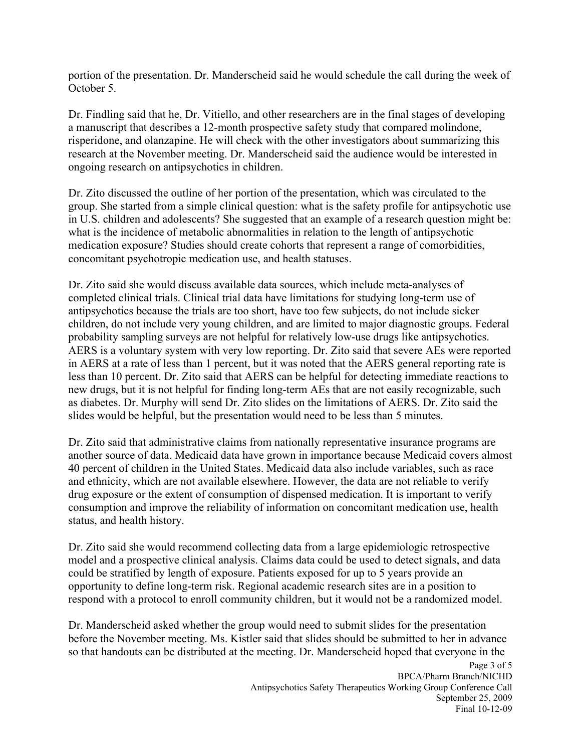portion of the presentation. Dr. Manderscheid said he would schedule the call during the week of October 5.

Dr. Findling said that he, Dr. Vitiello, and other researchers are in the final stages of developing a manuscript that describes a 12-month prospective safety study that compared molindone, risperidone, and olanzapine. He will check with the other investigators about summarizing this research at the November meeting. Dr. Manderscheid said the audience would be interested in ongoing research on antipsychotics in children.

Dr. Zito discussed the outline of her portion of the presentation, which was circulated to the group. She started from a simple clinical question: what is the safety profile for antipsychotic use in U.S. children and adolescents? She suggested that an example of a research question might be: what is the incidence of metabolic abnormalities in relation to the length of antipsychotic medication exposure? Studies should create cohorts that represent a range of comorbidities, concomitant psychotropic medication use, and health statuses.

Dr. Zito said she would discuss available data sources, which include meta-analyses of completed clinical trials. Clinical trial data have limitations for studying long-term use of antipsychotics because the trials are too short, have too few subjects, do not include sicker children, do not include very young children, and are limited to major diagnostic groups. Federal probability sampling surveys are not helpful for relatively low-use drugs like antipsychotics. AERS is a voluntary system with very low reporting. Dr. Zito said that severe AEs were reported in AERS at a rate of less than 1 percent, but it was noted that the AERS general reporting rate is less than 10 percent. Dr. Zito said that AERS can be helpful for detecting immediate reactions to new drugs, but it is not helpful for finding long-term AEs that are not easily recognizable, such as diabetes. Dr. Murphy will send Dr. Zito slides on the limitations of AERS. Dr. Zito said the slides would be helpful, but the presentation would need to be less than 5 minutes.

Dr. Zito said that administrative claims from nationally representative insurance programs are another source of data. Medicaid data have grown in importance because Medicaid covers almost 40 percent of children in the United States. Medicaid data also include variables, such as race and ethnicity, which are not available elsewhere. However, the data are not reliable to verify drug exposure or the extent of consumption of dispensed medication. It is important to verify consumption and improve the reliability of information on concomitant medication use, health status, and health history.

Dr. Zito said she would recommend collecting data from a large epidemiologic retrospective model and a prospective clinical analysis. Claims data could be used to detect signals, and data could be stratified by length of exposure. Patients exposed for up to 5 years provide an opportunity to define long-term risk. Regional academic research sites are in a position to respond with a protocol to enroll community children, but it would not be a randomized model.

Dr. Manderscheid asked whether the group would need to submit slides for the presentation before the November meeting. Ms. Kistler said that slides should be submitted to her in advance so that handouts can be distributed at the meeting. Dr. Manderscheid hoped that everyone in the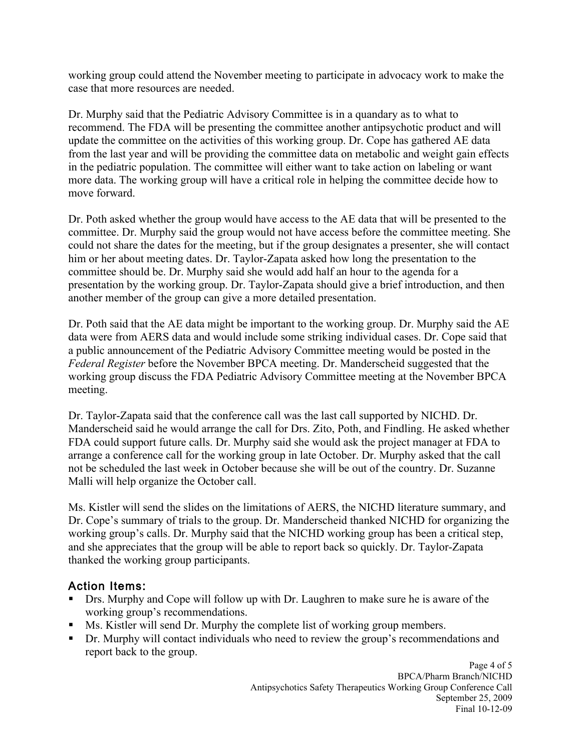working group could attend the November meeting to participate in advocacy work to make the case that more resources are needed.

Dr. Murphy said that the Pediatric Advisory Committee is in a quandary as to what to recommend. The FDA will be presenting the committee another antipsychotic product and will update the committee on the activities of this working group. Dr. Cope has gathered AE data from the last year and will be providing the committee data on metabolic and weight gain effects in the pediatric population. The committee will either want to take action on labeling or want more data. The working group will have a critical role in helping the committee decide how to move forward.

Dr. Poth asked whether the group would have access to the AE data that will be presented to the committee. Dr. Murphy said the group would not have access before the committee meeting. She could not share the dates for the meeting, but if the group designates a presenter, she will contact him or her about meeting dates. Dr. Taylor-Zapata asked how long the presentation to the committee should be. Dr. Murphy said she would add half an hour to the agenda for a presentation by the working group. Dr. Taylor-Zapata should give a brief introduction, and then another member of the group can give a more detailed presentation.

Dr. Poth said that the AE data might be important to the working group. Dr. Murphy said the AE data were from AERS data and would include some striking individual cases. Dr. Cope said that a public announcement of the Pediatric Advisory Committee meeting would be posted in the *Federal Register* before the November BPCA meeting. Dr. Manderscheid suggested that the working group discuss the FDA Pediatric Advisory Committee meeting at the November BPCA meeting.

Dr. Taylor-Zapata said that the conference call was the last call supported by NICHD. Dr. Manderscheid said he would arrange the call for Drs. Zito, Poth, and Findling. He asked whether FDA could support future calls. Dr. Murphy said she would ask the project manager at FDA to arrange a conference call for the working group in late October. Dr. Murphy asked that the call not be scheduled the last week in October because she will be out of the country. Dr. Suzanne Malli will help organize the October call.

Ms. Kistler will send the slides on the limitations of AERS, the NICHD literature summary, and Dr. Cope's summary of trials to the group. Dr. Manderscheid thanked NICHD for organizing the working group's calls. Dr. Murphy said that the NICHD working group has been a critical step, and she appreciates that the group will be able to report back so quickly. Dr. Taylor-Zapata thanked the working group participants.

### Action Items:

- Drs. Murphy and Cope will follow up with Dr. Laughren to make sure he is aware of the working group's recommendations.
- Ms. Kistler will send Dr. Murphy the complete list of working group members.
- Dr. Murphy will contact individuals who need to review the group's recommendations and report back to the group.